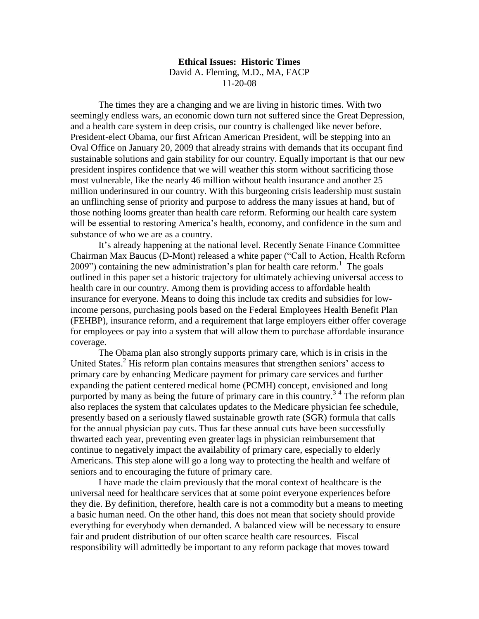**Ethical Issues: Historic Times** David A. Fleming, M.D., MA, FACP 11-20-08

The times they are a changing and we are living in historic times. With two seemingly endless wars, an economic down turn not suffered since the Great Depression, and a health care system in deep crisis, our country is challenged like never before. President-elect Obama, our first African American President, will be stepping into an Oval Office on January 20, 2009 that already strains with demands that its occupant find sustainable solutions and gain stability for our country. Equally important is that our new president inspires confidence that we will weather this storm without sacrificing those most vulnerable, like the nearly 46 million without health insurance and another 25 million underinsured in our country. With this burgeoning crisis leadership must sustain an unflinching sense of priority and purpose to address the many issues at hand, but of those nothing looms greater than health care reform. Reforming our health care system will be essential to restoring America's health, economy, and confidence in the sum and substance of who we are as a country.

It's already happening at the national level. Recently Senate Finance Committee Chairman Max Baucus (D-Mont) released a white paper ("Call to Action, Health Reform 2009") containing the new administration's plan for health care reform.<sup>1</sup> The goals outlined in this paper set a historic trajectory for ultimately achieving universal access to health care in our country. Among them is providing access to affordable health insurance for everyone. Means to doing this include tax credits and subsidies for lowincome persons, purchasing pools based on the Federal Employees Health Benefit Plan (FEHBP), insurance reform, and a requirement that large employers either offer coverage for employees or pay into a system that will allow them to purchase affordable insurance coverage.

The Obama plan also strongly supports primary care, which is in crisis in the United States.<sup>2</sup> His reform plan contains measures that strengthen seniors' access to primary care by enhancing Medicare payment for primary care services and further expanding the patient centered medical home (PCMH) concept, envisioned and long purported by many as being the future of primary care in this country.<sup>34</sup> The reform plan also replaces the system that calculates updates to the Medicare physician fee schedule, presently based on a seriously flawed sustainable growth rate (SGR) formula that calls for the annual physician pay cuts. Thus far these annual cuts have been successfully thwarted each year, preventing even greater lags in physician reimbursement that continue to negatively impact the availability of primary care, especially to elderly Americans. This step alone will go a long way to protecting the health and welfare of seniors and to encouraging the future of primary care.

I have made the claim previously that the moral context of healthcare is the universal need for healthcare services that at some point everyone experiences before they die. By definition, therefore, health care is not a commodity but a means to meeting a basic human need. On the other hand, this does not mean that society should provide everything for everybody when demanded. A balanced view will be necessary to ensure fair and prudent distribution of our often scarce health care resources. Fiscal responsibility will admittedly be important to any reform package that moves toward